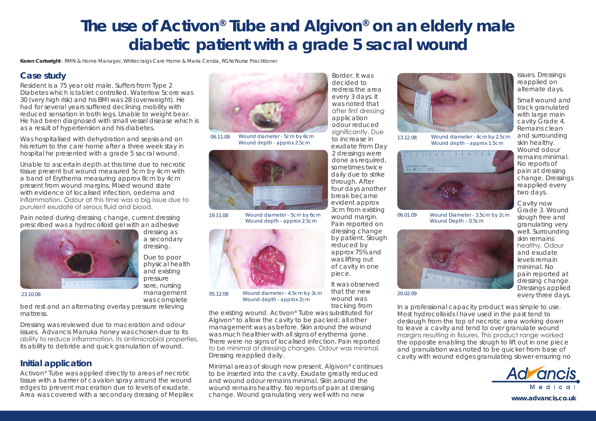## **The use of Activon® Tube and Algivon® on an elderly male diabetic patient with a grade 5 sacral wound**

**Karen Cartwright** - RMN & Home Manager, Whitecraigs Care Home & Maria Ceniza, RGN/Nurse Practitioner

dressing as a secondary dressing. Due to poor physical health and existing pressure sore, nursing management was complete

## **Case study**

Resident is a 75 year old male. Suffers from Type 2 Diabetes which is tablet controlled. Waterlow Score was 30 (very high risk) and his BMI was 28 (overweight). He had for several years suffered declining mobility with reduced sensation in both legs. Unable to weight bear. He had been diagnosed with small vessel disease which is as a result of hypertension and his diabetes.

Was hospitalised with dehydration and sepsis and on his return to the care home after a three week stay in hospital he presented with a grade 5 sacral wound.

Unable to ascertain depth at this time due to necrotic tissue present but wound measured 5cm by 4cm with a band of Erythema measuring approx 8cm by 4cm present from wound margins. Mixed wound state with evidence of localised infection, oedema and inflammation. Odour at this time was a big issue due to purulent exudate of serous fluid and blood.

Pain noted during dressing change, current dressing prescribed was a hydrocolloid gel with an adhesive



*23.10.08*

bed rest and an alternating overlay pressure relieving mattress.

Dressing was reviewed due to maceration and odour issues. Advancis Manuka honey was chosen due to its ability to reduce inflammation, its antimicrobial properties, its ability to debride and quick granulation of wound.

## **Initial application**

Activon® Tube was applied directly to areas of necrotic tissue with a barrier of cavalon spray around the wound edges to prevent maceration due to levels of exudate. Area was covered with a secondary dressing of Mepilex



*06.11.08 Wound diameter - 5cm by 6cm Wound depth - approx 2.5cm*



*Wound diameter - 5cm by 6cm Wound depth - approx 2.5cm 19.11.08*



*Wound diameter - 4.5cm by 3cm Wound depth - approx 2cm 05.12.08*

the existing wound. Activon® Tube was substituted for Algivon® to allow the cavity to be packed; all other management was as before. Skin around the wound was much healthier with all signs of erythema gone. There were no signs of localised infection. Pain reported to be minimal at dressing changes. Odour was minimal. Dressing reapplied daily.

Minimal areas of slough now present. Algivon® continues to be inserted into the cavity. Exudate greatly reduced and wound odour remains minimal. Skin around the wound remains healthy. No reports of pain at dressing change. Wound granulating very well with no new

Border. It was decided to redress the area every 3 days. It was noted that after first dressing application odour reduced significantly. Due to increase in exudate from Day 2 dressings were done as required, sometimes twice daily due to strike through. After four days another break became evident approx 3cm from existing wound margin. Pain reported on dressing change by patient. Slough reduced by approx 75% and was lifting out of cavity in one piece.

It was observed that the new wound was tracking from



*13.12.08 Wound diameter - 4cm by 2.5cm Wound depth – approx 1.5cm*



*Wound Diameter - 3.5cm by 2cm Wound Depth – 0.5cm 06.01.09*



*20.02.09*

reapplied every two days. Cavity now Grade 3. Wound slough free and granulating very well. Surrounding skin remains healthy. Odour and exudate levels remain minimal. No pain reported at dressing change. Dressings applied every three days.

issues. Dressings reapplied on alternate days. Small wound and track granulated with large main cavity Grade 4. Remains clean and surrounding skin healthy. Wound odour remains minimal. No reports of pain at dressing change. Dressings

In a professional capacity product was simple to use. Most hydrocolloids I have used in the past tend to deslough from the top of necrotic area working down to leave a cavity and tend to over granulate wound margins resulting in fissures. This product range worked the opposite enabling the slough to lift out in one piece and granulation was noted to be quicker from base of cavity with wound edges granulating slower ensuring no



**www.advancis.co.uk**